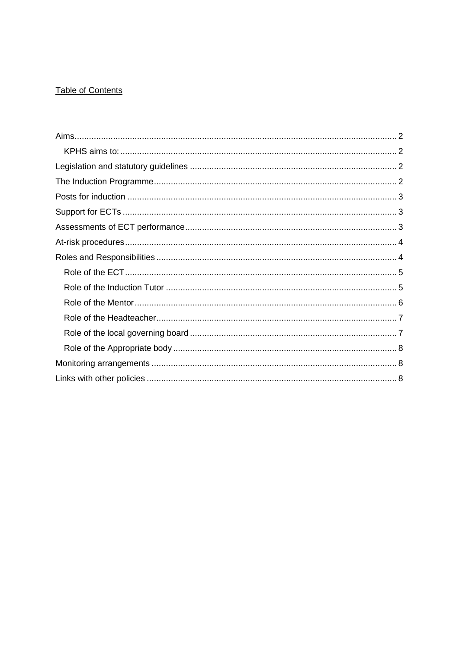# **Table of Contents**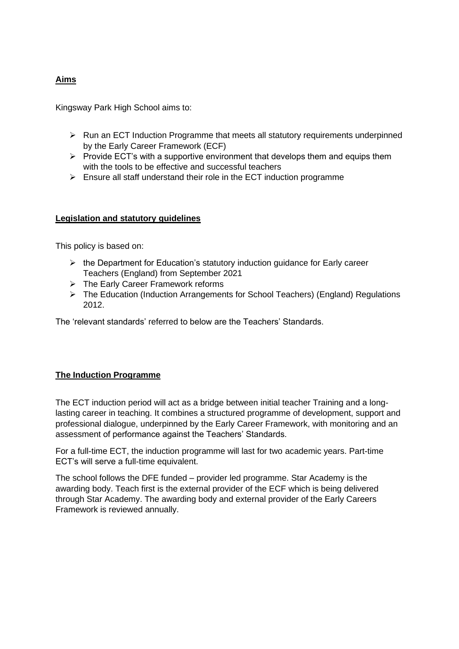# <span id="page-1-0"></span>**Aims**

<span id="page-1-1"></span>Kingsway Park High School aims to:

- ➢ Run an ECT Induction Programme that meets all statutory requirements underpinned by the Early Career Framework (ECF)
- $\triangleright$  Provide ECT's with a supportive environment that develops them and equips them with the tools to be effective and successful teachers
- $\triangleright$  Ensure all staff understand their role in the ECT induction programme

### <span id="page-1-2"></span>**Legislation and statutory guidelines**

This policy is based on:

- ➢ the Department for Education's statutory induction guidance for Early career Teachers (England) from September 2021
- ➢ The Early Career Framework reforms
- ➢ The Education (Induction Arrangements for School Teachers) (England) Regulations 2012.

The 'relevant standards' referred to below are the Teachers' Standards.

#### <span id="page-1-3"></span>**The Induction Programme**

The ECT induction period will act as a bridge between initial teacher Training and a longlasting career in teaching. It combines a structured programme of development, support and professional dialogue, underpinned by the Early Career Framework, with monitoring and an assessment of performance against the Teachers' Standards.

For a full-time ECT, the induction programme will last for two academic years. Part-time ECT's will serve a full-time equivalent.

The school follows the DFE funded – provider led programme. Star Academy is the awarding body. Teach first is the external provider of the ECF which is being delivered through Star Academy. The awarding body and external provider of the Early Careers Framework is reviewed annually.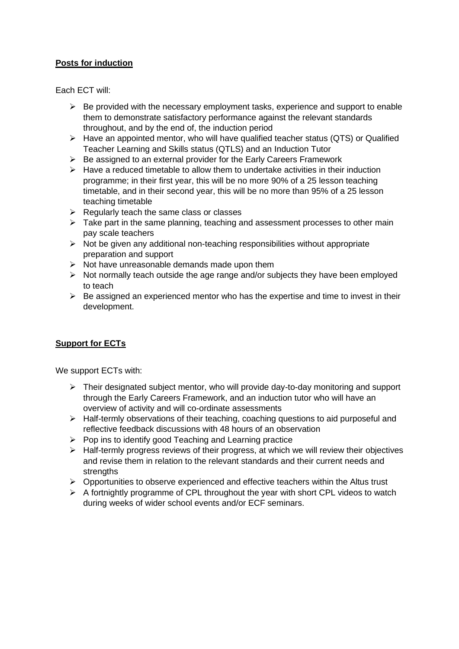## <span id="page-2-0"></span>**Posts for induction**

Each ECT will:

- $\triangleright$  Be provided with the necessary employment tasks, experience and support to enable them to demonstrate satisfactory performance against the relevant standards throughout, and by the end of, the induction period
- ➢ Have an appointed mentor, who will have qualified teacher status (QTS) or Qualified Teacher Learning and Skills status (QTLS) and an Induction Tutor
- $\triangleright$  Be assigned to an external provider for the Early Careers Framework
- $\triangleright$  Have a reduced timetable to allow them to undertake activities in their induction programme; in their first year, this will be no more 90% of a 25 lesson teaching timetable, and in their second year, this will be no more than 95% of a 25 lesson teaching timetable
- $\triangleright$  Regularly teach the same class or classes
- ➢ Take part in the same planning, teaching and assessment processes to other main pay scale teachers
- $\triangleright$  Not be given any additional non-teaching responsibilities without appropriate preparation and support
- $\triangleright$  Not have unreasonable demands made upon them
- $\triangleright$  Not normally teach outside the age range and/or subjects they have been employed to teach
- $\triangleright$  Be assigned an experienced mentor who has the expertise and time to invest in their development.

## <span id="page-2-1"></span>**Support for ECTs**

We support ECTs with:

- $\triangleright$  Their designated subject mentor, who will provide day-to-day monitoring and support through the Early Careers Framework, and an induction tutor who will have an overview of activity and will co-ordinate assessments
- ➢ Half-termly observations of their teaching, coaching questions to aid purposeful and reflective feedback discussions with 48 hours of an observation
- ➢ Pop ins to identify good Teaching and Learning practice
- ➢ Half-termly progress reviews of their progress, at which we will review their objectives and revise them in relation to the relevant standards and their current needs and strengths
- $\triangleright$  Opportunities to observe experienced and effective teachers within the Altus trust
- <span id="page-2-2"></span>➢ A fortnightly programme of CPL throughout the year with short CPL videos to watch during weeks of wider school events and/or ECF seminars.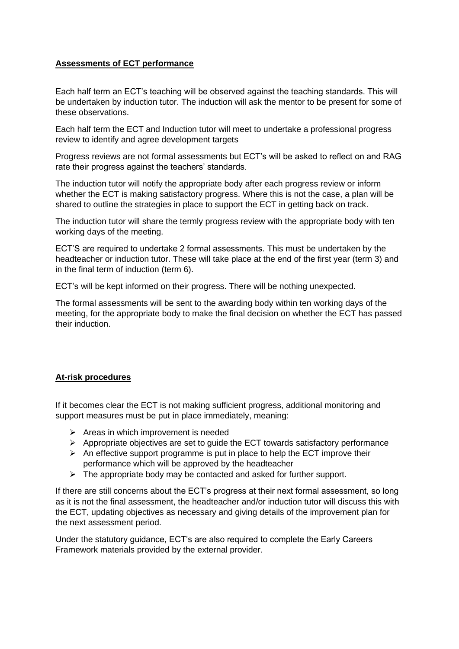## **Assessments of ECT performance**

Each half term an ECT's teaching will be observed against the teaching standards. This will be undertaken by induction tutor. The induction will ask the mentor to be present for some of these observations.

Each half term the ECT and Induction tutor will meet to undertake a professional progress review to identify and agree development targets

Progress reviews are not formal assessments but ECT's will be asked to reflect on and RAG rate their progress against the teachers' standards.

The induction tutor will notify the appropriate body after each progress review or inform whether the ECT is making satisfactory progress. Where this is not the case, a plan will be shared to outline the strategies in place to support the ECT in getting back on track.

The induction tutor will share the termly progress review with the appropriate body with ten working days of the meeting.

ECT'S are required to undertake 2 formal assessments. This must be undertaken by the headteacher or induction tutor. These will take place at the end of the first year (term 3) and in the final term of induction (term 6).

ECT's will be kept informed on their progress. There will be nothing unexpected.

The formal assessments will be sent to the awarding body within ten working days of the meeting, for the appropriate body to make the final decision on whether the ECT has passed their induction.

#### <span id="page-3-0"></span>**At-risk procedures**

If it becomes clear the ECT is not making sufficient progress, additional monitoring and support measures must be put in place immediately, meaning:

- ➢ Areas in which improvement is needed
- ➢ Appropriate objectives are set to guide the ECT towards satisfactory performance
- $\triangleright$  An effective support programme is put in place to help the ECT improve their performance which will be approved by the headteacher
- <span id="page-3-1"></span> $\triangleright$  The appropriate body may be contacted and asked for further support.

If there are still concerns about the ECT's progress at their next formal assessment, so long as it is not the final assessment, the headteacher and/or induction tutor will discuss this with the ECT, updating objectives as necessary and giving details of the improvement plan for the next assessment period.

Under the statutory guidance, ECT's are also required to complete the Early Careers Framework materials provided by the external provider.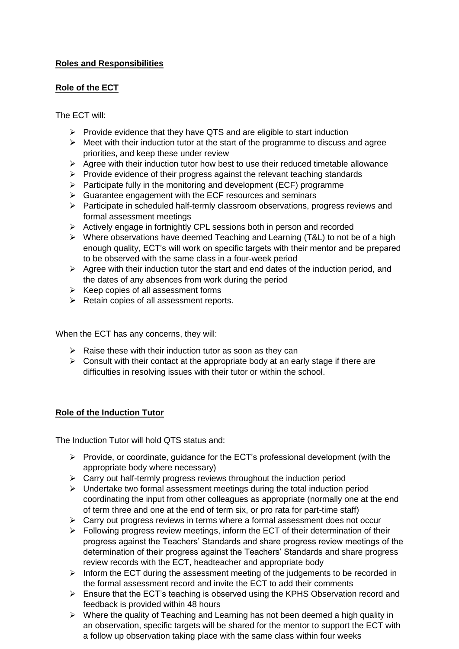# <span id="page-4-0"></span>**Roles and Responsibilities**

### **Role of the ECT**

The ECT will:

- $\triangleright$  Provide evidence that they have QTS and are eligible to start induction
- $\triangleright$  Meet with their induction tutor at the start of the programme to discuss and agree priorities, and keep these under review
- ➢ Agree with their induction tutor how best to use their reduced timetable allowance
- $\triangleright$  Provide evidence of their progress against the relevant teaching standards
- ➢ Participate fully in the monitoring and development (ECF) programme
- ➢ Guarantee engagement with the ECF resources and seminars
- ➢ Participate in scheduled half-termly classroom observations, progress reviews and formal assessment meetings
- ➢ Actively engage in fortnightly CPL sessions both in person and recorded
- ➢ Where observations have deemed Teaching and Learning (T&L) to not be of a high enough quality, ECT's will work on specific targets with their mentor and be prepared to be observed with the same class in a four-week period
- $\triangleright$  Agree with their induction tutor the start and end dates of the induction period, and the dates of any absences from work during the period
- ➢ Keep copies of all assessment forms
- ➢ Retain copies of all assessment reports.

When the ECT has any concerns, they will:

- $\triangleright$  Raise these with their induction tutor as soon as they can
- $\triangleright$  Consult with their contact at the appropriate body at an early stage if there are difficulties in resolving issues with their tutor or within the school.

## <span id="page-4-1"></span>**Role of the Induction Tutor**

The Induction Tutor will hold QTS status and:

- ➢ Provide, or coordinate, guidance for the ECT's professional development (with the appropriate body where necessary)
- ➢ Carry out half-termly progress reviews throughout the induction period
- ➢ Undertake two formal assessment meetings during the total induction period coordinating the input from other colleagues as appropriate (normally one at the end of term three and one at the end of term six, or pro rata for part-time staff)
- $\triangleright$  Carry out progress reviews in terms where a formal assessment does not occur
- ➢ Following progress review meetings, inform the ECT of their determination of their progress against the Teachers' Standards and share progress review meetings of the determination of their progress against the Teachers' Standards and share progress review records with the ECT, headteacher and appropriate body
- ➢ Inform the ECT during the assessment meeting of the judgements to be recorded in the formal assessment record and invite the ECT to add their comments
- ➢ Ensure that the ECT's teaching is observed using the KPHS Observation record and feedback is provided within 48 hours
- ➢ Where the quality of Teaching and Learning has not been deemed a high quality in an observation, specific targets will be shared for the mentor to support the ECT with a follow up observation taking place with the same class within four weeks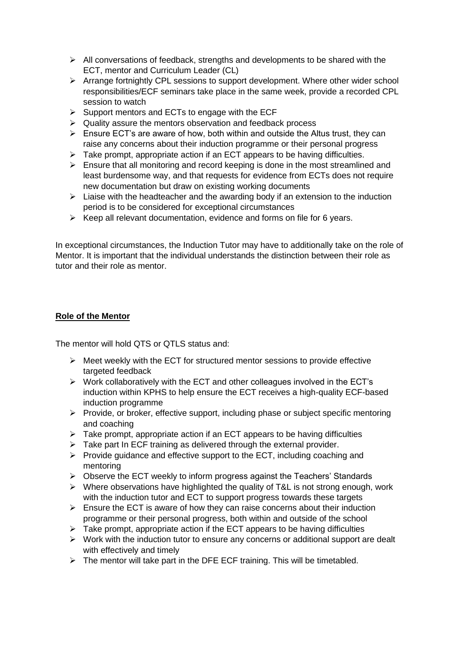- $\triangleright$  All conversations of feedback, strengths and developments to be shared with the ECT, mentor and Curriculum Leader (CL)
- ➢ Arrange fortnightly CPL sessions to support development. Where other wider school responsibilities/ECF seminars take place in the same week, provide a recorded CPL session to watch
- $\triangleright$  Support mentors and ECTs to engage with the ECF
- ➢ Quality assure the mentors observation and feedback process
- $\triangleright$  Ensure ECT's are aware of how, both within and outside the Altus trust, they can raise any concerns about their induction programme or their personal progress
- $\triangleright$  Take prompt, appropriate action if an ECT appears to be having difficulties.
- $\triangleright$  Ensure that all monitoring and record keeping is done in the most streamlined and least burdensome way, and that requests for evidence from ECTs does not require new documentation but draw on existing working documents
- $\triangleright$  Liaise with the headteacher and the awarding body if an extension to the induction period is to be considered for exceptional circumstances
- ➢ Keep all relevant documentation, evidence and forms on file for 6 years.

In exceptional circumstances, the Induction Tutor may have to additionally take on the role of Mentor. It is important that the individual understands the distinction between their role as tutor and their role as mentor.

### <span id="page-5-0"></span>**Role of the Mentor**

The mentor will hold QTS or QTLS status and:

- $\triangleright$  Meet weekly with the ECT for structured mentor sessions to provide effective targeted feedback
- $\triangleright$  Work collaboratively with the ECT and other colleagues involved in the ECT's induction within KPHS to help ensure the ECT receives a high-quality ECF-based induction programme
- ➢ Provide, or broker, effective support, including phase or subject specific mentoring and coaching
- $\triangleright$  Take prompt, appropriate action if an ECT appears to be having difficulties
- $\triangleright$  Take part In ECF training as delivered through the external provider.
- ➢ Provide guidance and effective support to the ECT, including coaching and mentoring
- ➢ Observe the ECT weekly to inform progress against the Teachers' Standards
- ➢ Where observations have highlighted the quality of T&L is not strong enough, work with the induction tutor and ECT to support progress towards these targets
- ➢ Ensure the ECT is aware of how they can raise concerns about their induction programme or their personal progress, both within and outside of the school
- $\triangleright$  Take prompt, appropriate action if the ECT appears to be having difficulties
- ➢ Work with the induction tutor to ensure any concerns or additional support are dealt with effectively and timely
- $\triangleright$  The mentor will take part in the DFE ECF training. This will be timetabled.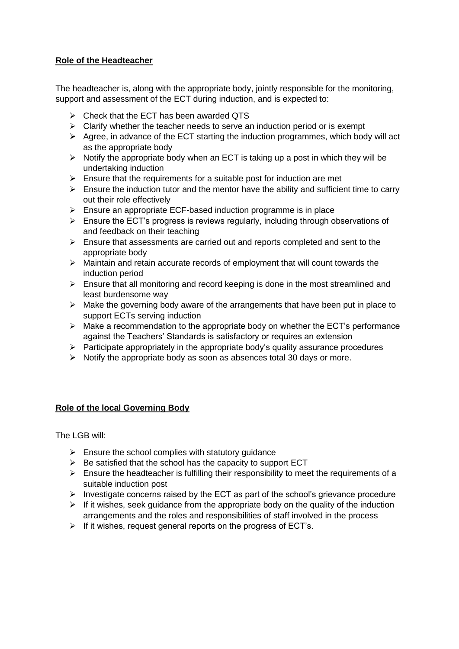## <span id="page-6-0"></span>**Role of the Headteacher**

The headteacher is, along with the appropriate body, jointly responsible for the monitoring, support and assessment of the ECT during induction, and is expected to:

- $\triangleright$  Check that the ECT has been awarded QTS
- $\triangleright$  Clarify whether the teacher needs to serve an induction period or is exempt
- $\triangleright$  Agree, in advance of the ECT starting the induction programmes, which body will act as the appropriate body
- $\triangleright$  Notify the appropriate body when an ECT is taking up a post in which they will be undertaking induction
- $\triangleright$  Ensure that the requirements for a suitable post for induction are met
- $\triangleright$  Ensure the induction tutor and the mentor have the ability and sufficient time to carry out their role effectively
- $\triangleright$  Ensure an appropriate ECF-based induction programme is in place
- ➢ Ensure the ECT's progress is reviews regularly, including through observations of and feedback on their teaching
- ➢ Ensure that assessments are carried out and reports completed and sent to the appropriate body
- ➢ Maintain and retain accurate records of employment that will count towards the induction period
- $\triangleright$  Ensure that all monitoring and record keeping is done in the most streamlined and least burdensome way
- ➢ Make the governing body aware of the arrangements that have been put in place to support ECTs serving induction
- $\triangleright$  Make a recommendation to the appropriate body on whether the ECT's performance against the Teachers' Standards is satisfactory or requires an extension
- $\triangleright$  Participate appropriately in the appropriate body's quality assurance procedures
- ➢ Notify the appropriate body as soon as absences total 30 days or more.

#### <span id="page-6-1"></span>**Role of the local Governing Body**

The LGB will:

- $\triangleright$  Ensure the school complies with statutory quidance
- $\triangleright$  Be satisfied that the school has the capacity to support ECT
- $\triangleright$  Ensure the headteacher is fulfilling their responsibility to meet the requirements of a suitable induction post
- $\triangleright$  Investigate concerns raised by the ECT as part of the school's grievance procedure
- $\triangleright$  If it wishes, seek guidance from the appropriate body on the quality of the induction arrangements and the roles and responsibilities of staff involved in the process
- ➢ If it wishes, request general reports on the progress of ECT's.